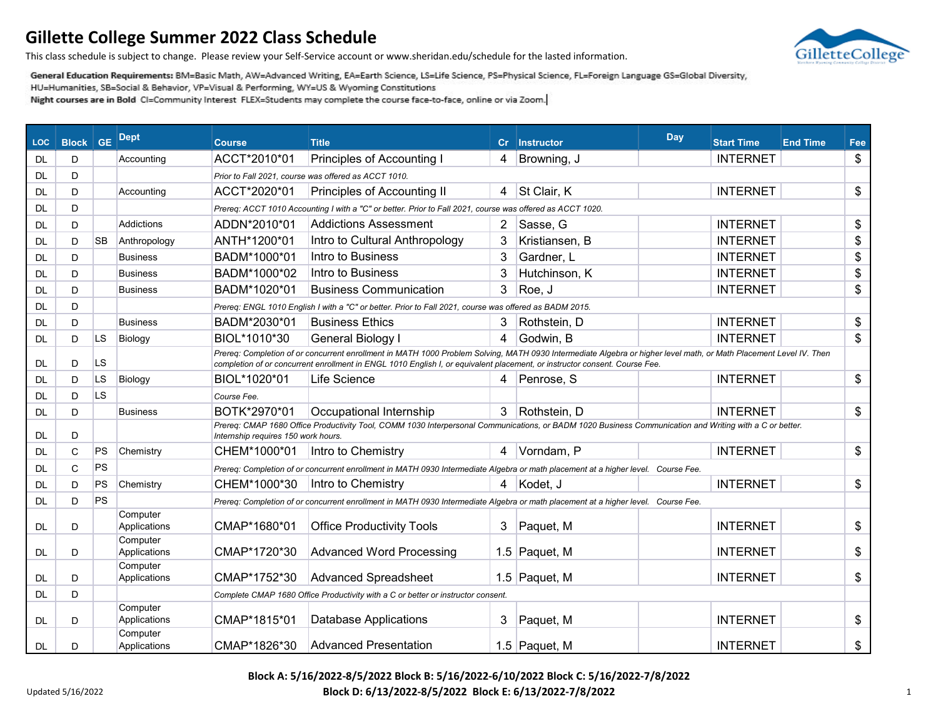

This class schedule is subject to change. Please review your Self-Service account or www.sheridan.edu/schedule for the lasted information.

General Education Requirements: BM=Basic Math, AW=Advanced Writing, EA=Earth Science, LS=Life Science, PS=Physical Science, FL=Foreign Language GS=Global Diversity,

HU=Humanities, SB=Social & Behavior, VP=Visual & Performing, WY=US & Wyoming Constitutions

| <b>LOC</b> | <b>Block</b> | <b>GE</b> | <b>Dept</b>              | <b>Course</b>                       | <b>Title</b>                                                                                                                                                                                                                                                                                     | cr             | <b>Instructor</b> | Day | <b>Start Time</b> | <b>End Time</b> | Fee            |
|------------|--------------|-----------|--------------------------|-------------------------------------|--------------------------------------------------------------------------------------------------------------------------------------------------------------------------------------------------------------------------------------------------------------------------------------------------|----------------|-------------------|-----|-------------------|-----------------|----------------|
| <b>DL</b>  | D            |           | Accounting               | ACCT*2010*01                        | Principles of Accounting I                                                                                                                                                                                                                                                                       | 4              | Browning, J       |     | <b>INTERNET</b>   |                 | \$             |
| DL.        | D            |           |                          |                                     | Prior to Fall 2021, course was offered as ACCT 1010.                                                                                                                                                                                                                                             |                |                   |     |                   |                 |                |
| DL         | D            |           | Accounting               | ACCT*2020*01                        | Principles of Accounting II                                                                                                                                                                                                                                                                      |                | 4 St Clair, K     |     | <b>INTERNET</b>   |                 | \$             |
| <b>DL</b>  | D            |           |                          |                                     | Prereq: ACCT 1010 Accounting I with a "C" or better. Prior to Fall 2021, course was offered as ACCT 1020.                                                                                                                                                                                        |                |                   |     |                   |                 |                |
| <b>DL</b>  | D            |           | <b>Addictions</b>        | ADDN*2010*01                        | <b>Addictions Assessment</b>                                                                                                                                                                                                                                                                     | $\overline{2}$ | Sasse, G          |     | <b>INTERNET</b>   |                 | \$             |
| <b>DL</b>  | D            | <b>SB</b> | Anthropology             | ANTH*1200*01                        | Intro to Cultural Anthropology                                                                                                                                                                                                                                                                   | 3              | Kristiansen, B    |     | <b>INTERNET</b>   |                 | \$             |
| DL.        | D            |           | <b>Business</b>          | BADM*1000*01                        | Intro to Business                                                                                                                                                                                                                                                                                | 3              | Gardner, L        |     | <b>INTERNET</b>   |                 | \$             |
| <b>DL</b>  | D            |           | <b>Business</b>          | BADM*1000*02                        | Intro to Business                                                                                                                                                                                                                                                                                | 3              | Hutchinson, K     |     | <b>INTERNET</b>   |                 | \$             |
| DL.        | D            |           | <b>Business</b>          | BADM*1020*01                        | <b>Business Communication</b>                                                                                                                                                                                                                                                                    | 3              | Roe, J            |     | <b>INTERNET</b>   |                 | \$             |
| DL.        | D            |           |                          |                                     | Prereq: ENGL 1010 English I with a "C" or better. Prior to Fall 2021, course was offered as BADM 2015.                                                                                                                                                                                           |                |                   |     |                   |                 |                |
| <b>DL</b>  | D            |           | <b>Business</b>          | BADM*2030*01                        | <b>Business Ethics</b>                                                                                                                                                                                                                                                                           | 3              | Rothstein, D      |     | <b>INTERNET</b>   |                 | \$             |
| <b>DL</b>  | D            | <b>LS</b> | Biology                  | BIOL*1010*30                        | General Biology I                                                                                                                                                                                                                                                                                | 4              | Godwin, B         |     | <b>INTERNET</b>   |                 | \$             |
| DL.        | D            | <b>LS</b> |                          |                                     | Prereq: Completion of or concurrent enrollment in MATH 1000 Problem Solving, MATH 0930 Intermediate Algebra or higher level math, or Math Placement Level IV. Then<br>completion of or concurrent enrollment in ENGL 1010 English I, or equivalent placement, or instructor consent. Course Fee. |                |                   |     |                   |                 |                |
| DL.        | D            | LS        | Biology                  | BIOL*1020*01                        | Life Science                                                                                                                                                                                                                                                                                     | 4              | Penrose, S        |     | <b>INTERNET</b>   |                 | \$             |
| <b>DL</b>  | D            | LS.       |                          | Course Fee.                         |                                                                                                                                                                                                                                                                                                  |                |                   |     |                   |                 |                |
| <b>DL</b>  | D            |           | <b>Business</b>          | BOTK*2970*01                        | Occupational Internship                                                                                                                                                                                                                                                                          | 3              | Rothstein, D      |     | <b>INTERNET</b>   |                 | \$             |
| DL.        | D            |           |                          | Internship requires 150 work hours. | Prereq: CMAP 1680 Office Productivity Tool, COMM 1030 Interpersonal Communications, or BADM 1020 Business Communication and Writing with a C or better.                                                                                                                                          |                |                   |     |                   |                 |                |
| DL.        | C            | PS        | Chemistry                | CHEM*1000*01                        | Intro to Chemistry                                                                                                                                                                                                                                                                               | 4              | Vorndam, P        |     | <b>INTERNET</b>   |                 | $\mathfrak{S}$ |
| <b>DL</b>  | $\mathsf{C}$ | PS        |                          |                                     | Prereq: Completion of or concurrent enrollment in MATH 0930 Intermediate Algebra or math placement at a higher level. Course Fee.                                                                                                                                                                |                |                   |     |                   |                 |                |
| <b>DL</b>  | D            | PS        | Chemistry                | CHEM*1000*30                        | Intro to Chemistry                                                                                                                                                                                                                                                                               |                | 4 Kodet, J        |     | <b>INTERNET</b>   |                 | \$             |
| DL.        | D            | PS        |                          |                                     | Prereq: Completion of or concurrent enrollment in MATH 0930 Intermediate Algebra or math placement at a higher level. Course Fee.                                                                                                                                                                |                |                   |     |                   |                 |                |
| <b>DL</b>  | D            |           | Computer<br>Applications | CMAP*1680*01                        | <b>Office Productivity Tools</b>                                                                                                                                                                                                                                                                 | 3              | Paquet, M         |     | <b>INTERNET</b>   |                 | \$             |
| <b>DL</b>  | D            |           | Computer<br>Applications | CMAP*1720*30                        | <b>Advanced Word Processing</b>                                                                                                                                                                                                                                                                  |                | 1.5 Paquet, M     |     | <b>INTERNET</b>   |                 | \$             |
| <b>DL</b>  | D            |           | Computer<br>Applications | CMAP*1752*30                        | <b>Advanced Spreadsheet</b>                                                                                                                                                                                                                                                                      |                | 1.5 Paquet, M     |     | <b>INTERNET</b>   |                 | \$             |
| <b>DL</b>  | D            |           |                          |                                     | Complete CMAP 1680 Office Productivity with a C or better or instructor consent.                                                                                                                                                                                                                 |                |                   |     |                   |                 |                |
| <b>DL</b>  | D            |           | Computer<br>Applications | CMAP*1815*01                        | <b>Database Applications</b>                                                                                                                                                                                                                                                                     | 3              | Paquet, M         |     | <b>INTERNET</b>   |                 | \$             |
| <b>DL</b>  | D            |           | Computer<br>Applications | CMAP*1826*30                        | <b>Advanced Presentation</b>                                                                                                                                                                                                                                                                     |                | 1.5 Paquet, M     |     | <b>INTERNET</b>   |                 | \$             |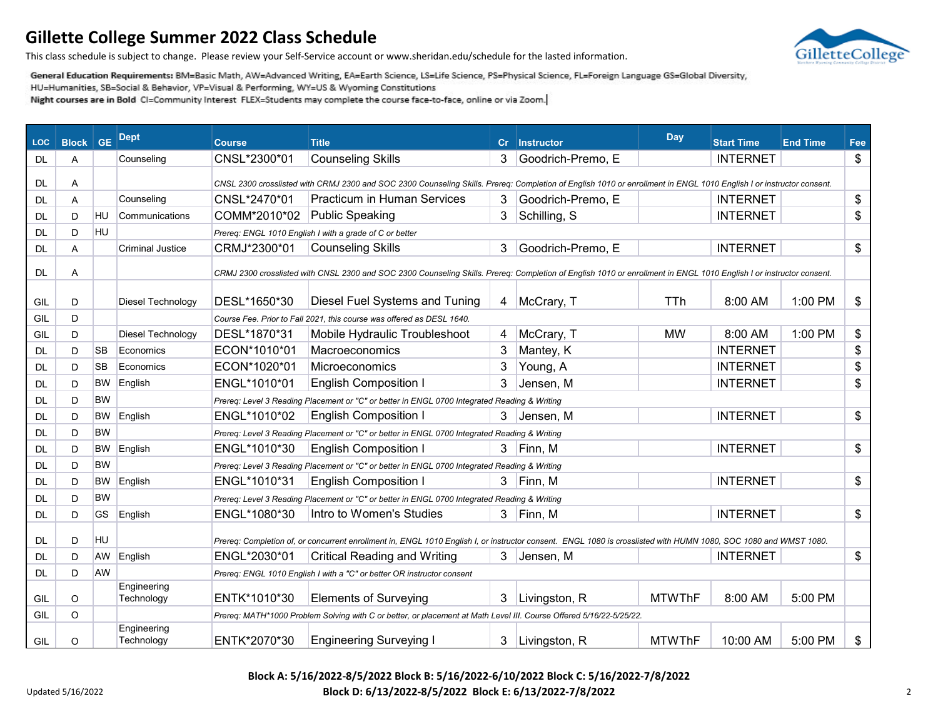

This class schedule is subject to change. Please review your Self-Service account or www.sheridan.edu/schedule for the lasted information.

General Education Requirements: BM=Basic Math, AW=Advanced Writing, EA=Earth Science, LS=Life Science, PS=Physical Science, FL=Foreign Language GS=Global Diversity,

HU=Humanities, SB=Social & Behavior, VP=Visual & Performing, WY=US & Wyoming Constitutions

Night courses are in Bold CI=Community Interest FLEX=Students may complete the course face-to-face, online or via Zoom.

| <b>LOC</b> | <b>Block</b> | <b>GE</b> | <b>Dept</b>               | Course       | <b>Title</b>                                                                                                                                                        | cr | Instructor        | <b>Day</b>    | <b>Start Time</b> | <b>End Time</b> | Fee |
|------------|--------------|-----------|---------------------------|--------------|---------------------------------------------------------------------------------------------------------------------------------------------------------------------|----|-------------------|---------------|-------------------|-----------------|-----|
| DL.        | A            |           | Counseling                | CNSL*2300*01 | <b>Counseling Skills</b>                                                                                                                                            | 3  | Goodrich-Premo, E |               | <b>INTERNET</b>   |                 | \$  |
| DL.        | Α            |           |                           |              | CNSL 2300 crosslisted with CRMJ 2300 and SOC 2300 Counseling Skills. Prereq: Completion of English 1010 or enrollment in ENGL 1010 English I or instructor consent. |    |                   |               |                   |                 |     |
| <b>DL</b>  | A            |           | Counseling                | CNSL*2470*01 | <b>Practicum in Human Services</b>                                                                                                                                  | 3  | Goodrich-Premo, E |               | <b>INTERNET</b>   |                 | \$  |
| DL.        | D            | <b>HU</b> | Communications            | COMM*2010*02 | <b>Public Speaking</b>                                                                                                                                              | 3  | Schilling, S      |               | <b>INTERNET</b>   |                 | \$  |
| DL         | D            | <b>HU</b> |                           |              | Prereq: ENGL 1010 English I with a grade of C or better                                                                                                             |    |                   |               |                   |                 |     |
| <b>DL</b>  | A            |           | <b>Criminal Justice</b>   | CRMJ*2300*01 | <b>Counseling Skills</b>                                                                                                                                            | 3  | Goodrich-Premo, E |               | <b>INTERNET</b>   |                 | \$  |
| <b>DL</b>  |              |           |                           |              |                                                                                                                                                                     |    |                   |               |                   |                 |     |
|            | Α            |           |                           |              | CRMJ 2300 crosslisted with CNSL 2300 and SOC 2300 Counseling Skills. Prereq: Completion of English 1010 or enrollment in ENGL 1010 English I or instructor consent. |    |                   |               |                   |                 |     |
| GIL        | D            |           | Diesel Technology         | DESL*1650*30 | Diesel Fuel Systems and Tuning                                                                                                                                      | 4  | McCrary, T        | <b>TTh</b>    | 8:00 AM           | 1:00 PM         | \$  |
| GIL        | D            |           |                           |              | Course Fee. Prior to Fall 2021, this course was offered as DESL 1640.                                                                                               |    |                   |               |                   |                 |     |
| GIL        | D            |           | Diesel Technology         | DESL*1870*31 | Mobile Hydraulic Troubleshoot                                                                                                                                       | 4  | McCrary, T        | <b>MW</b>     | 8:00 AM           | 1:00 PM         | \$  |
| <b>DL</b>  | D            | <b>SB</b> | Economics                 | ECON*1010*01 | Macroeconomics                                                                                                                                                      | 3  | Mantey, K         |               | <b>INTERNET</b>   |                 | \$  |
| DL         | D            | <b>SB</b> | Economics                 | ECON*1020*01 | Microeconomics                                                                                                                                                      | 3  | Young, A          |               | <b>INTERNET</b>   |                 | \$  |
| <b>DL</b>  | D            | <b>BW</b> | English                   | ENGL*1010*01 | <b>English Composition I</b>                                                                                                                                        | 3  | Jensen, M         |               | <b>INTERNET</b>   |                 | \$  |
| DL         | D            | <b>BW</b> |                           |              | Prereq: Level 3 Reading Placement or "C" or better in ENGL 0700 Integrated Reading & Writing                                                                        |    |                   |               |                   |                 |     |
| DL         | D            | BW.       | English                   | ENGL*1010*02 | <b>English Composition I</b>                                                                                                                                        | 3  | Jensen, M         |               | <b>INTERNET</b>   |                 | \$  |
| <b>DL</b>  | D            | <b>BW</b> |                           |              | Prereq: Level 3 Reading Placement or "C" or better in ENGL 0700 Integrated Reading & Writing                                                                        |    |                   |               |                   |                 |     |
| DL         | D            | BW        | English                   | ENGL*1010*30 | <b>English Composition I</b>                                                                                                                                        | 3. | Finn, M           |               | <b>INTERNET</b>   |                 | \$  |
| <b>DL</b>  | D            | <b>BW</b> |                           |              | Prereq: Level 3 Reading Placement or "C" or better in ENGL 0700 Integrated Reading & Writing                                                                        |    |                   |               |                   |                 |     |
| <b>DL</b>  | D            | BW.       | English                   | ENGL*1010*31 | <b>English Composition I</b>                                                                                                                                        | 3  | Finn, M           |               | <b>INTERNET</b>   |                 | \$  |
| DL         | D            | <b>BW</b> |                           |              | Prereq: Level 3 Reading Placement or "C" or better in ENGL 0700 Integrated Reading & Writing                                                                        |    |                   |               |                   |                 |     |
| <b>DL</b>  | D            | GS        | English                   | ENGL*1080*30 | Intro to Women's Studies                                                                                                                                            | 3  | Finn, M           |               | <b>INTERNET</b>   |                 | \$  |
| DL.        | D            | HU        |                           |              | Prereq: Completion of, or concurrent enrollment in, ENGL 1010 English I, or instructor consent. ENGL 1080 is crosslisted with HUMN 1080, SOC 1080 and WMST 1080.    |    |                   |               |                   |                 |     |
| DL.        | D            | AW        | English                   | ENGL*2030*01 | <b>Critical Reading and Writing</b>                                                                                                                                 | 3  | Jensen, M         |               | <b>INTERNET</b>   |                 | \$  |
| <b>DL</b>  | D            | AW        |                           |              | Prereq: ENGL 1010 English I with a "C" or better OR instructor consent                                                                                              |    |                   |               |                   |                 |     |
| GIL        | O            |           | Engineering<br>Technology | ENTK*1010*30 | <b>Elements of Surveying</b>                                                                                                                                        | 3  | Livingston, R     | <b>MTWThF</b> | 8:00 AM           | 5:00 PM         |     |
| GIL        | O            |           |                           |              | Prereq: MATH*1000 Problem Solving with C or better, or placement at Math Level III. Course Offered 5/16/22-5/25/22.                                                 |    |                   |               |                   |                 |     |
| GIL        | O            |           | Engineering<br>Technology | ENTK*2070*30 | <b>Engineering Surveying I</b>                                                                                                                                      | 3  | Livingston, R     | <b>MTWThF</b> | 10:00 AM          | 5:00 PM         | \$  |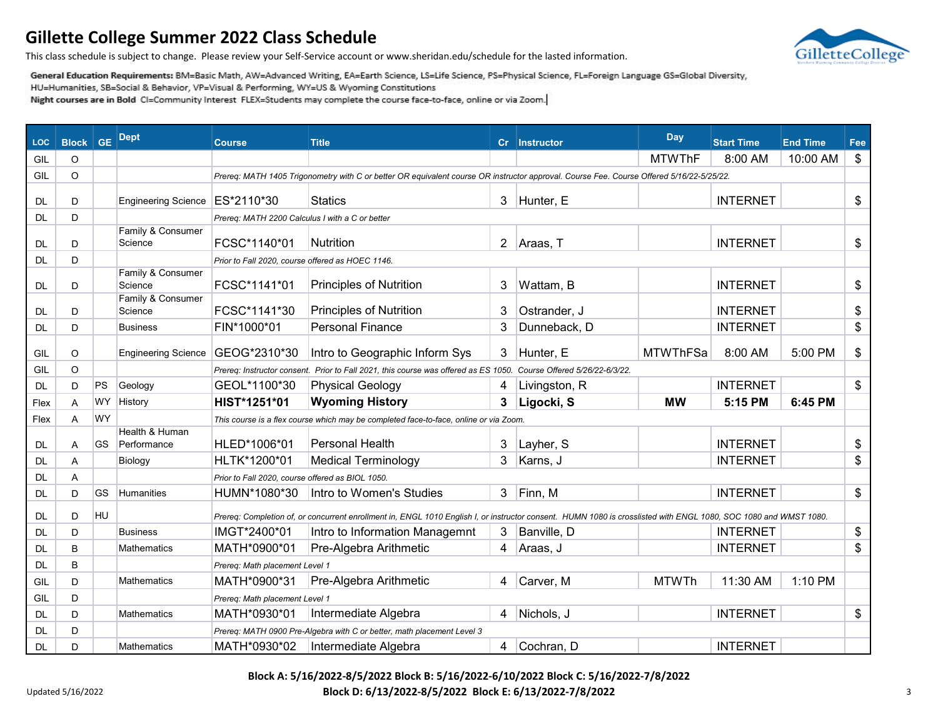

This class schedule is subject to change. Please review your Self-Service account or www.sheridan.edu/schedule for the lasted information.

General Education Requirements: BM=Basic Math, AW=Advanced Writing, EA=Earth Science, LS=Life Science, PS=Physical Science, FL=Foreign Language GS=Global Diversity,

HU=Humanities, SB=Social & Behavior, VP=Visual & Performing, WY=US & Wyoming Constitutions

Night courses are in Bold CI=Community Interest FLEX=Students may complete the course face-to-face, online or via Zoom.

| <b>LOC</b> | <b>Block GE</b> |           | <b>Dept</b>                   | <b>Course</b>                                    | <b>Title</b>                                                                                                                                                     |                | Cr   Instructor                | <b>Day</b>      | <b>Start Time</b> | <b>End Time</b> | Fee           |
|------------|-----------------|-----------|-------------------------------|--------------------------------------------------|------------------------------------------------------------------------------------------------------------------------------------------------------------------|----------------|--------------------------------|-----------------|-------------------|-----------------|---------------|
| GIL        | $\circ$         |           |                               |                                                  |                                                                                                                                                                  |                |                                | <b>MTWThF</b>   | 8:00 AM           | 10:00 AM        | $\frac{1}{2}$ |
| GIL        | O               |           |                               |                                                  | Prereq: MATH 1405 Trigonometry with C or better OR equivalent course OR instructor approval. Course Fee. Course Offered 5/16/22-5/25/22.                         |                |                                |                 |                   |                 |               |
| <b>DL</b>  | D               |           | <b>Engineering Science</b>    | ES*2110*30                                       | <b>Statics</b>                                                                                                                                                   | 3              | Hunter, E                      |                 | <b>INTERNET</b>   |                 | \$            |
| DL.        | D               |           |                               | Prereq: MATH 2200 Calculus I with a C or better  |                                                                                                                                                                  |                |                                |                 |                   |                 |               |
| <b>DL</b>  | D               |           | Family & Consumer<br>Science  | FCSC*1140*01                                     | <b>Nutrition</b>                                                                                                                                                 | $\overline{2}$ | Araas, T                       |                 | <b>INTERNET</b>   |                 | \$            |
| DL         | D               |           |                               | Prior to Fall 2020, course offered as HOEC 1146. |                                                                                                                                                                  |                |                                |                 |                   |                 |               |
| <b>DL</b>  | D               |           | Family & Consumer<br>Science  | FCSC*1141*01                                     | <b>Principles of Nutrition</b>                                                                                                                                   | 3              | Wattam, B                      |                 | <b>INTERNET</b>   |                 | \$            |
| <b>DL</b>  | D               |           | Family & Consumer<br>Science  | FCSC*1141*30                                     | <b>Principles of Nutrition</b>                                                                                                                                   | 3              | Ostrander, J                   |                 | <b>INTERNET</b>   |                 | \$            |
| <b>DL</b>  | D               |           | <b>Business</b>               | FIN*1000*01                                      | <b>Personal Finance</b>                                                                                                                                          | 3              | Dunneback, D                   |                 | <b>INTERNET</b>   |                 | \$            |
| GIL        | O               |           | <b>Engineering Science</b>    | GEOG*2310*30                                     | Intro to Geographic Inform Sys                                                                                                                                   | 3              | Hunter, E                      | <b>MTWThFSa</b> | 8:00 AM           | 5:00 PM         | \$            |
| GIL        | $\circ$         |           |                               | Prereq: Instructor consent.                      | Prior to Fall 2021, this course was offered as ES 1050.                                                                                                          |                | Course Offered 5/26/22-6/3/22. |                 |                   |                 |               |
| <b>DL</b>  | D               | PS        | Geology                       | GEOL*1100*30                                     | <b>Physical Geology</b>                                                                                                                                          | 4              | Livingston, R                  |                 | <b>INTERNET</b>   |                 | \$            |
| Flex       | A               | <b>WY</b> | History                       | HIST*1251*01                                     | <b>Wyoming History</b>                                                                                                                                           | 3              | Ligocki, S                     | <b>MW</b>       | 5:15 PM           | 6:45 PM         |               |
| Flex       | A               | <b>WY</b> |                               |                                                  | This course is a flex course which may be completed face-to-face, online or via Zoom.                                                                            |                |                                |                 |                   |                 |               |
| DL.        | A               | GS        | Health & Human<br>Performance | HLED*1006*01                                     | <b>Personal Health</b>                                                                                                                                           | 3              | Layher, S                      |                 | <b>INTERNET</b>   |                 | \$            |
| <b>DL</b>  | Α               |           | Biology                       | HLTK*1200*01                                     | <b>Medical Terminology</b>                                                                                                                                       | 3              | Karns, J                       |                 | <b>INTERNET</b>   |                 | \$            |
| DL         | A               |           |                               | Prior to Fall 2020, course offered as BIOL 1050. |                                                                                                                                                                  |                |                                |                 |                   |                 |               |
| <b>DL</b>  | D               | <b>GS</b> | <b>Humanities</b>             | HUMN*1080*30                                     | Intro to Women's Studies                                                                                                                                         | 3              | Finn, M                        |                 | <b>INTERNET</b>   |                 | \$            |
| <b>DL</b>  | D               | HU        |                               |                                                  | Prereq: Completion of, or concurrent enrollment in, ENGL 1010 English I, or instructor consent. HUMN 1080 is crosslisted with ENGL 1080, SOC 1080 and WMST 1080. |                |                                |                 |                   |                 |               |
| <b>DL</b>  | D               |           | <b>Business</b>               | IMGT*2400*01                                     | Intro to Information Managemnt                                                                                                                                   | 3              | Banville, D                    |                 | <b>INTERNET</b>   |                 | \$            |
| <b>DL</b>  | B               |           | <b>Mathematics</b>            | MATH*0900*01                                     | Pre-Algebra Arithmetic                                                                                                                                           | 4              | Araas, J                       |                 | <b>INTERNET</b>   |                 | \$            |
| <b>DL</b>  | B               |           |                               | Prereq: Math placement Level 1                   |                                                                                                                                                                  |                |                                |                 |                   |                 |               |
| GIL        | D               |           | <b>Mathematics</b>            | MATH*0900*31                                     | Pre-Algebra Arithmetic                                                                                                                                           | 4              | Carver, M                      | <b>MTWTh</b>    | 11:30 AM          | 1:10 PM         |               |
| GIL        | D               |           |                               | Prereg: Math placement Level 1                   |                                                                                                                                                                  |                |                                |                 |                   |                 |               |
| DL.        | D               |           | Mathematics                   | MATH*0930*01                                     | Intermediate Algebra                                                                                                                                             | 4              | Nichols, J                     |                 | <b>INTERNET</b>   |                 | \$            |
| DL         | D               |           |                               |                                                  | Prereq: MATH 0900 Pre-Algebra with C or better, math placement Level 3                                                                                           |                |                                |                 |                   |                 |               |
| DL         | D               |           | Mathematics                   | MATH*0930*02                                     | Intermediate Algebra                                                                                                                                             | 4              | Cochran, D                     |                 | <b>INTERNET</b>   |                 |               |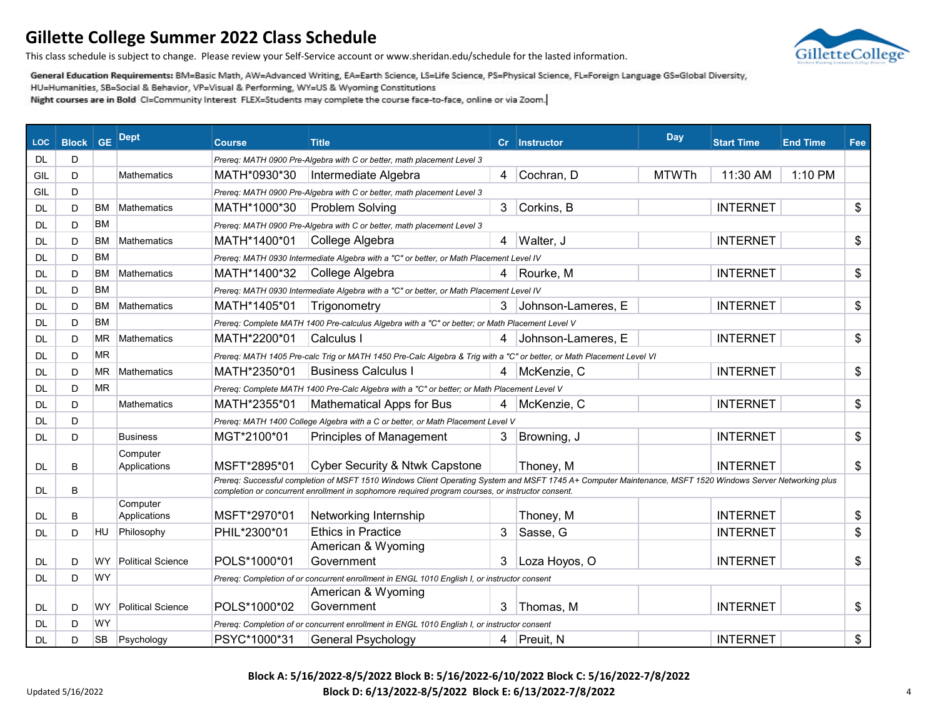GilletteCollege

This class schedule is subject to change. Please review your Self-Service account or www.sheridan.edu/schedule for the lasted information.

General Education Requirements: BM=Basic Math, AW=Advanced Writing, EA=Earth Science, LS=Life Science, PS=Physical Science, FL=Foreign Language GS=Global Diversity,

HU=Humanities, SB=Social & Behavior, VP=Visual & Performing, WY=US & Wyoming Constitutions

Night courses are in Bold CI=Community Interest FLEX=Students may complete the course face-to-face, online or via Zoom.

| <b>LOC</b> | <b>Block</b> | <b>GE</b> | <b>Dept</b>              | <b>Course</b> | <b>Title</b>                                                                                                                                                                                                                                                    | $\mathbf{C}$ r | <b>Instructor</b>    | Day          | <b>Start Time</b> | <b>End Time</b> | Fee |
|------------|--------------|-----------|--------------------------|---------------|-----------------------------------------------------------------------------------------------------------------------------------------------------------------------------------------------------------------------------------------------------------------|----------------|----------------------|--------------|-------------------|-----------------|-----|
| <b>DL</b>  | D            |           |                          |               | Prereg: MATH 0900 Pre-Algebra with C or better, math placement Level 3                                                                                                                                                                                          |                |                      |              |                   |                 |     |
| GIL        | D            |           | <b>Mathematics</b>       | MATH*0930*30  | Intermediate Algebra                                                                                                                                                                                                                                            | 4              | Cochran, D           | <b>MTWTh</b> | 11:30 AM          | 1:10 PM         |     |
| GIL        | D            |           |                          |               | Prereq: MATH 0900 Pre-Algebra with C or better, math placement Level 3                                                                                                                                                                                          |                |                      |              |                   |                 |     |
| DL         | D            | ВM        | Mathematics              | MATH*1000*30  | <b>Problem Solving</b>                                                                                                                                                                                                                                          | 3              | Corkins, B           |              | <b>INTERNET</b>   |                 | \$  |
| DL         | D            | <b>BM</b> |                          |               | Prereq: MATH 0900 Pre-Algebra with C or better, math placement Level 3                                                                                                                                                                                          |                |                      |              |                   |                 |     |
| DL         | D            | ВM        | Mathematics              | MATH*1400*01  | College Algebra                                                                                                                                                                                                                                                 | 4              | Walter, J            |              | <b>INTERNET</b>   |                 | \$  |
| DL         | D            | ВM        |                          |               | Prereq: MATH 0930 Intermediate Algebra with a "C" or better, or Math Placement Level IV                                                                                                                                                                         |                |                      |              |                   |                 |     |
| DL         | D            | ВM        | <b>Mathematics</b>       | MATH*1400*32  | College Algebra                                                                                                                                                                                                                                                 |                | 4 Rourke, M          |              | <b>INTERNET</b>   |                 | \$  |
| DL         | D            | ВM        |                          |               | Prereq: MATH 0930 Intermediate Algebra with a "C" or better, or Math Placement Level IV                                                                                                                                                                         |                |                      |              |                   |                 |     |
| DL         | D            | ВM        | <b>Mathematics</b>       | MATH*1405*01  | Trigonometry                                                                                                                                                                                                                                                    |                | 3 Johnson-Lameres, E |              | <b>INTERNET</b>   |                 | \$  |
| DL         | D            | <b>BM</b> |                          |               | Prereq: Complete MATH 1400 Pre-calculus Algebra with a "C" or better; or Math Placement Level V                                                                                                                                                                 |                |                      |              |                   |                 |     |
| <b>DL</b>  | D            | ΜR        | <b>Mathematics</b>       | MATH*2200*01  | Calculus I                                                                                                                                                                                                                                                      | 4              | Johnson-Lameres, E   |              | <b>INTERNET</b>   |                 | \$  |
| DL         | D            | MR        |                          |               | Prereq: MATH 1405 Pre-calc Trig or MATH 1450 Pre-Calc Algebra & Trig with a "C" or better, or Math Placement Level VI                                                                                                                                           |                |                      |              |                   |                 |     |
| DL         | D            | ΜR        | <b>Mathematics</b>       | MATH*2350*01  | <b>Business Calculus I</b>                                                                                                                                                                                                                                      |                | 4 McKenzie, C        |              | <b>INTERNET</b>   |                 | \$  |
| DL         | D            | <b>MR</b> |                          |               | Prereq: Complete MATH 1400 Pre-Calc Algebra with a "C" or better; or Math Placement Level V                                                                                                                                                                     |                |                      |              |                   |                 |     |
| DL         | D            |           | <b>Mathematics</b>       | MATH*2355*01  | <b>Mathematical Apps for Bus</b>                                                                                                                                                                                                                                |                | McKenzie, C          |              | <b>INTERNET</b>   |                 | \$  |
| DL         | D            |           |                          |               | Prereq: MATH 1400 College Algebra with a C or better, or Math Placement Level V                                                                                                                                                                                 |                |                      |              |                   |                 |     |
| DL         | D            |           | <b>Business</b>          | MGT*2100*01   | <b>Principles of Management</b>                                                                                                                                                                                                                                 | 3              | Browning, J          |              | <b>INTERNET</b>   |                 | \$  |
| DL         | B            |           | Computer<br>Applications | MSFT*2895*01  | <b>Cyber Security &amp; Ntwk Capstone</b>                                                                                                                                                                                                                       |                | Thoney, M            |              | <b>INTERNET</b>   |                 | \$  |
| DL         | В            |           |                          |               | Prereq: Successful completion of MSFT 1510 Windows Client Operating System and MSFT 1745 A+ Computer Maintenance, MSFT 1520 Windows Server Networking plus<br>completion or concurrent enrollment in sophomore required program courses, or instructor consent. |                |                      |              |                   |                 |     |
| DL         | B            |           | Computer<br>Applications | MSFT*2970*01  | Networking Internship                                                                                                                                                                                                                                           |                | Thoney, M            |              | <b>INTERNET</b>   |                 | \$  |
| DL         | D            | HU        | Philosophy               | PHIL*2300*01  | <b>Ethics in Practice</b>                                                                                                                                                                                                                                       | 3              | Sasse, G             |              | <b>INTERNET</b>   |                 | \$  |
| <b>DL</b>  | D            | WY        | <b>Political Science</b> | POLS*1000*01  | American & Wyoming<br>Government                                                                                                                                                                                                                                | 3              | Loza Hoyos, O        |              | <b>INTERNET</b>   |                 | \$  |
| DL.        | D            | WY        |                          |               | Prereq: Completion of or concurrent enrollment in ENGL 1010 English I, or instructor consent                                                                                                                                                                    |                |                      |              |                   |                 |     |
|            |              |           |                          |               | American & Wyoming                                                                                                                                                                                                                                              |                |                      |              |                   |                 |     |
| DL         | D            | WY        | <b>Political Science</b> | POLS*1000*02  | Government                                                                                                                                                                                                                                                      | 3              | Thomas, M            |              | <b>INTERNET</b>   |                 | \$  |
| DL         | D            | WY        |                          |               | Prereq: Completion of or concurrent enrollment in ENGL 1010 English I, or instructor consent                                                                                                                                                                    |                |                      |              |                   |                 |     |
| DL         | D            | SB        | Psychology               | PSYC*1000*31  | <b>General Psychology</b>                                                                                                                                                                                                                                       |                | 4 Preuit, N          |              | <b>INTERNET</b>   |                 | \$  |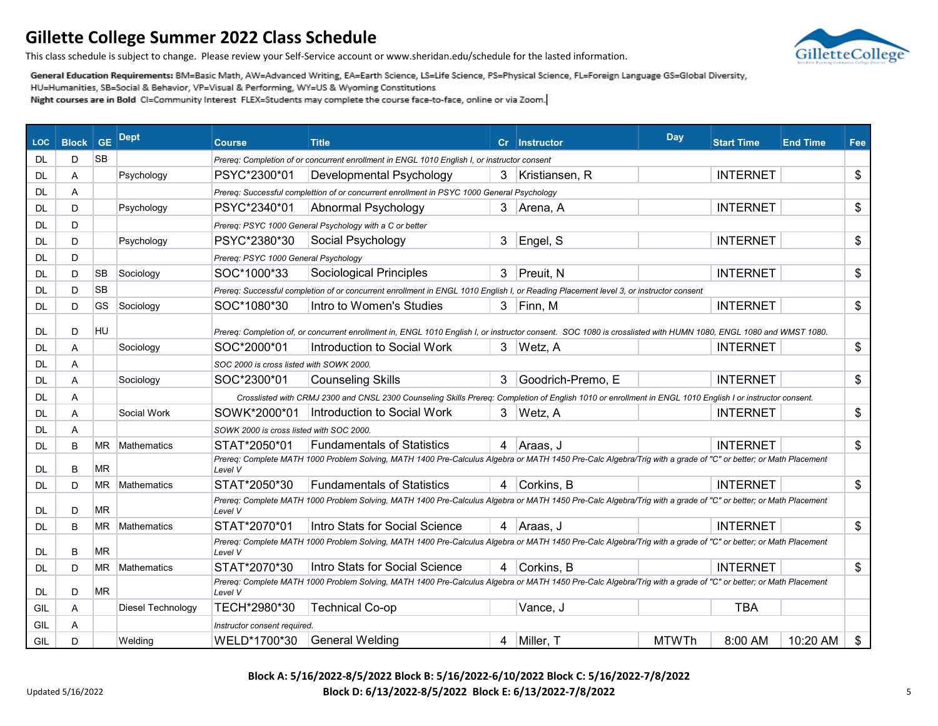GilletteCollege

This class schedule is subject to change. Please review your Self-Service account or www.sheridan.edu/schedule for the lasted information.

General Education Requirements: BM=Basic Math, AW=Advanced Writing, EA=Earth Science, LS=Life Science, PS=Physical Science, FL=Foreign Language GS=Global Diversity,

HU=Humanities, SB=Social & Behavior, VP=Visual & Performing, WY=US & Wyoming Constitutions

| <b>LOC</b> | <b>Block</b> | <b>GE</b> | <b>Dept</b>        | <b>Course</b>                            | <b>Title</b>                                                                                                                                                     | cr | <b>Instructor</b> | Day          | <b>Start Time</b> | <b>End Time</b> | Fee |
|------------|--------------|-----------|--------------------|------------------------------------------|------------------------------------------------------------------------------------------------------------------------------------------------------------------|----|-------------------|--------------|-------------------|-----------------|-----|
| DL         | D            | <b>SB</b> |                    |                                          | Prereg: Completion of or concurrent enrollment in ENGL 1010 English I, or instructor consent                                                                     |    |                   |              |                   |                 |     |
| DL         | Α            |           | Psychology         | PSYC*2300*01                             | Developmental Psychology                                                                                                                                         | 3  | Kristiansen, R    |              | <b>INTERNET</b>   |                 | \$  |
| DL         | Α            |           |                    |                                          | Prereq: Successful complettion of or concurrent enrollment in PSYC 1000 General Psychology                                                                       |    |                   |              |                   |                 |     |
| DL         | D            |           | Psychology         | PSYC*2340*01                             | Abnormal Psychology                                                                                                                                              | 3. | ∣Arena, A         |              | <b>INTERNET</b>   |                 | \$  |
| DL         | D            |           |                    |                                          | Prereq: PSYC 1000 General Psychology with a C or better                                                                                                          |    |                   |              |                   |                 |     |
| DL         | D            |           | Psychology         | PSYC*2380*30                             | Social Psychology                                                                                                                                                | 3  | Engel, S          |              | <b>INTERNET</b>   |                 | \$  |
| DL         | D            |           |                    | Prereq: PSYC 1000 General Psychology     |                                                                                                                                                                  |    |                   |              |                   |                 |     |
| DL         | D            | SB        | Sociology          | SOC*1000*33                              | <b>Sociological Principles</b>                                                                                                                                   | 3  | <b>Preuit. N</b>  |              | <b>INTERNET</b>   |                 | \$  |
| DL         | D            | <b>SB</b> |                    |                                          | Prereq: Successful completion of or concurrent enrollment in ENGL 1010 English I, or Reading Placement level 3, or instructor consent                            |    |                   |              |                   |                 |     |
| DL         | D            | <b>GS</b> | Sociology          | SOC*1080*30                              | Intro to Women's Studies                                                                                                                                         |    | $3$ Finn, M       |              | <b>INTERNET</b>   |                 | \$  |
| DL         | D            | HU        |                    |                                          | Prereq: Completion of, or concurrent enrollment in, ENGL 1010 English I, or instructor consent. SOC 1080 is crosslisted with HUMN 1080, ENGL 1080 and WMST 1080. |    |                   |              |                   |                 |     |
| DL         | A            |           | Sociology          | SOC*2000*01                              | Introduction to Social Work                                                                                                                                      | 3  | Wetz, A           |              | <b>INTERNET</b>   |                 | \$  |
| DL         | Α            |           |                    | SOC 2000 is cross listed with SOWK 2000. |                                                                                                                                                                  |    |                   |              |                   |                 |     |
| DL         | Α            |           | Sociology          | SOC*2300*01                              | <b>Counseling Skills</b>                                                                                                                                         | 3  | Goodrich-Premo, E |              | <b>INTERNET</b>   |                 | \$  |
| DL         | A            |           |                    |                                          | Crosslisted with CRMJ 2300 and CNSL 2300 Counseling Skills Prereg: Completion of English 1010 or enrollment in ENGL 1010 English I or instructor consent.        |    |                   |              |                   |                 |     |
| DL         | A            |           | Social Work        | SOWK*2000*01                             | Introduction to Social Work                                                                                                                                      |    | 3 Wetz, A         |              | <b>INTERNET</b>   |                 | \$  |
| DL         | A            |           |                    | SOWK 2000 is cross listed with SOC 2000. |                                                                                                                                                                  |    |                   |              |                   |                 |     |
| DL         | B            | ΜR        | <b>Mathematics</b> | STAT*2050*01                             | <b>Fundamentals of Statistics</b>                                                                                                                                |    | 4   Araas, J      |              | <b>INTERNET</b>   |                 | \$  |
| DL         | B            | ΜR        |                    | Level V                                  | Prereg: Complete MATH 1000 Problem Solving, MATH 1400 Pre-Calculus Algebra or MATH 1450 Pre-Calc Algebra/Trig with a grade of "C" or better; or Math Placement   |    |                   |              |                   |                 |     |
| DL         | D            | ΜR        | <b>Mathematics</b> | STAT*2050*30                             | <b>Fundamentals of Statistics</b>                                                                                                                                | 4  | Corkins, B        |              | <b>INTERNET</b>   |                 | \$  |
| DL         | D            | ΜR        |                    | Level V                                  | Prereq: Complete MATH 1000 Problem Solving, MATH 1400 Pre-Calculus Algebra or MATH 1450 Pre-Calc Algebra/Trig with a grade of "C" or better; or Math Placement   |    |                   |              |                   |                 |     |
| DL         | B            | ΜR        | <b>Mathematics</b> | STAT*2070*01                             | Intro Stats for Social Science                                                                                                                                   |    | 4 Araas, J        |              | <b>INTERNET</b>   |                 | \$  |
| DL         | B            | <b>MR</b> |                    | Level V                                  | Prereq: Complete MATH 1000 Problem Solving, MATH 1400 Pre-Calculus Algebra or MATH 1450 Pre-Calc Algebra/Trig with a grade of "C" or better; or Math Placement   |    |                   |              |                   |                 |     |
| DL         | D            | МR        | <b>Mathematics</b> | STAT*2070*30                             | Intro Stats for Social Science                                                                                                                                   |    | 4 Corkins, B      |              | <b>INTERNET</b>   |                 | \$  |
| DL.        | D            | MR.       |                    | Level V                                  | Prereq: Complete MATH 1000 Problem Solving, MATH 1400 Pre-Calculus Algebra or MATH 1450 Pre-Calc Algebra/Trig with a grade of "C" or better; or Math Placement   |    |                   |              |                   |                 |     |
| GIL        | Α            |           | Diesel Technology  | TECH*2980*30                             | <b>Technical Co-op</b>                                                                                                                                           |    | Vance, J          |              | <b>TBA</b>        |                 |     |
| GIL        | Α            |           |                    | Instructor consent required.             |                                                                                                                                                                  |    |                   |              |                   |                 |     |
| GIL        | D            |           | Welding            | WELD*1700*30                             | <b>General Welding</b>                                                                                                                                           | 4  | Miller, T         | <b>MTWTh</b> | 8:00 AM           | 10:20 AM        | \$  |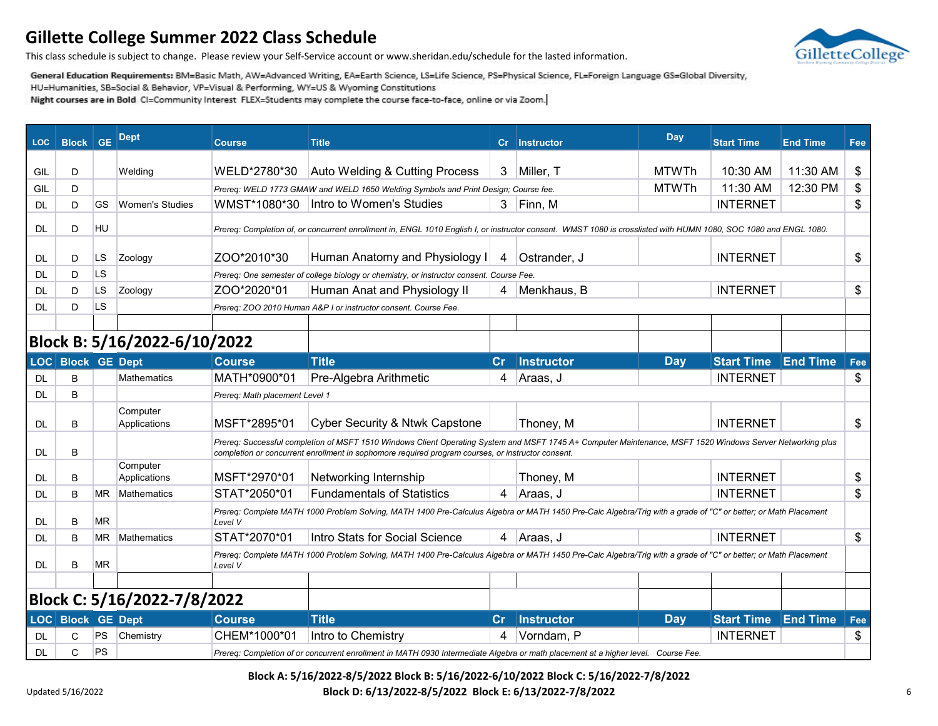

This class schedule is subject to change. Please review your Self-Service account or www.sheridan.edu/schedule for the lasted information.

General Education Requirements: BM=Basic Math, AW=Advanced Writing, EA=Earth Science, LS=Life Science, PS=Physical Science, FL=Foreign Language GS=Global Diversity,

HU=Humanities, SB=Social & Behavior, VP=Visual & Performing, WY=US & Wyoming Constitutions

Night courses are in Bold CI=Community Interest FLEX=Students may complete the course face-to-face, online or via Zoom.

| <b>LOC</b> | <b>Block GE</b>          |           | Dept                         | <b>Course</b>                  | <b>Title</b>                                                                                                                                                                                                                                                    | cr | <b>Instructor</b> | Day          | <b>Start Time</b> | <b>End Time</b> | Fee |
|------------|--------------------------|-----------|------------------------------|--------------------------------|-----------------------------------------------------------------------------------------------------------------------------------------------------------------------------------------------------------------------------------------------------------------|----|-------------------|--------------|-------------------|-----------------|-----|
|            |                          |           |                              |                                |                                                                                                                                                                                                                                                                 |    |                   |              |                   |                 |     |
| GIL        | D                        |           | Welding                      | WELD*2780*30                   | Auto Welding & Cutting Process                                                                                                                                                                                                                                  | 3  | Miller, T         | <b>MTWTh</b> | 10:30 AM          | 11:30 AM        | \$  |
| GIL        | D                        |           |                              |                                | Prereq: WELD 1773 GMAW and WELD 1650 Welding Symbols and Print Design; Course fee.                                                                                                                                                                              |    |                   | <b>MTWTh</b> | 11:30 AM          | 12:30 PM        | \$  |
| DL         | D                        | GS        | <b>Women's Studies</b>       |                                | WMST*1080*30   Intro to Women's Studies                                                                                                                                                                                                                         | 3  | Finn, M           |              | <b>INTERNET</b>   |                 | \$  |
| DL.        | D                        | HU        |                              |                                | Prereq: Completion of, or concurrent enrollment in, ENGL 1010 English I, or instructor consent. WMST 1080 is crosslisted with HUMN 1080, SOC 1080 and ENGL 1080.                                                                                                |    |                   |              |                   |                 |     |
| DL         | D                        | LS        | Zoology                      | ZOO*2010*30                    | Human Anatomy and Physiology I                                                                                                                                                                                                                                  | 4  | Ostrander, J      |              | <b>INTERNET</b>   |                 | \$  |
| <b>DL</b>  | D                        | <b>LS</b> |                              |                                | Prereq: One semester of college biology or chemistry, or instructor consent. Course Fee.                                                                                                                                                                        |    |                   |              |                   |                 |     |
| <b>DL</b>  | D                        | LS        | Zoology                      | ZOO*2020*01                    | Human Anat and Physiology II                                                                                                                                                                                                                                    | 4  | Menkhaus, B       |              | <b>INTERNET</b>   |                 | \$  |
| DL         | D                        | LS        |                              |                                | Prereq: ZOO 2010 Human A&P I or instructor consent. Course Fee.                                                                                                                                                                                                 |    |                   |              |                   |                 |     |
|            |                          |           |                              |                                |                                                                                                                                                                                                                                                                 |    |                   |              |                   |                 |     |
|            |                          |           | Block B: 5/16/2022-6/10/2022 |                                |                                                                                                                                                                                                                                                                 |    |                   |              |                   |                 |     |
|            | <b>LOC</b> Block GE Dept |           |                              | Course                         | <b>Title</b>                                                                                                                                                                                                                                                    | cr | Instructor        | <b>Day</b>   | <b>Start Time</b> | <b>End Time</b> | Fee |
| <b>DL</b>  | B                        |           | <b>Mathematics</b>           | MATH*0900*01                   | Pre-Algebra Arithmetic                                                                                                                                                                                                                                          | 4  | Araas, J          |              | <b>INTERNET</b>   |                 | \$  |
| DL.        | B                        |           |                              | Prereq: Math placement Level 1 |                                                                                                                                                                                                                                                                 |    |                   |              |                   |                 |     |
| DL         | B                        |           | Computer<br>Applications     | MSFT*2895*01                   | Cyber Security & Ntwk Capstone                                                                                                                                                                                                                                  |    | Thoney, M         |              | <b>INTERNET</b>   |                 | \$  |
| <b>DL</b>  | B                        |           |                              |                                | Prereq: Successful completion of MSFT 1510 Windows Client Operating System and MSFT 1745 A+ Computer Maintenance, MSFT 1520 Windows Server Networking plus<br>completion or concurrent enrollment in sophomore required program courses, or instructor consent. |    |                   |              |                   |                 |     |
| DL         | B                        |           | Computer<br>Applications     | MSFT*2970*01                   | Networking Internship                                                                                                                                                                                                                                           |    | Thoney, M         |              | <b>INTERNET</b>   |                 | \$  |
| DL         | B                        | ΜR        | <b>Mathematics</b>           | STAT*2050*01                   | <b>Fundamentals of Statistics</b>                                                                                                                                                                                                                               | 4  | Araas, J          |              | <b>INTERNET</b>   |                 | \$  |
| DL.        | B                        | ΜR        |                              | Level V                        | Prereq: Complete MATH 1000 Problem Solving, MATH 1400 Pre-Calculus Algebra or MATH 1450 Pre-Calc Algebra/Trig with a grade of "C" or better; or Math Placement                                                                                                  |    |                   |              |                   |                 |     |
| DL         | B                        | ΜR        | <b>Mathematics</b>           | STAT*2070*01                   | Intro Stats for Social Science                                                                                                                                                                                                                                  | 4  | Araas, J          |              | <b>INTERNET</b>   |                 | \$  |
| DL.        | B                        | ΜR        |                              | Level V                        | Prereq: Complete MATH 1000 Problem Solving, MATH 1400 Pre-Calculus Algebra or MATH 1450 Pre-Calc Algebra/Trig with a grade of "C" or better; or Math Placement                                                                                                  |    |                   |              |                   |                 |     |
|            |                          |           |                              |                                |                                                                                                                                                                                                                                                                 |    |                   |              |                   |                 |     |
|            |                          |           | Block C: 5/16/2022-7/8/2022  |                                |                                                                                                                                                                                                                                                                 |    |                   |              |                   |                 |     |
|            | <b>LOC</b> Block GE Dept |           |                              | <b>Course</b>                  | <b>Title</b>                                                                                                                                                                                                                                                    | Cr | Instructor        | <b>Day</b>   | <b>Start Time</b> | <b>End Time</b> | Fee |
| <b>DL</b>  | C                        | PS        | Chemistry                    | CHEM*1000*01                   | Intro to Chemistry                                                                                                                                                                                                                                              | 4  | Vorndam, P        |              | <b>INTERNET</b>   |                 | \$  |
| <b>DL</b>  | C                        | PS        |                              |                                | Prereq: Completion of or concurrent enrollment in MATH 0930 Intermediate Algebra or math placement at a higher level. Course Fee.                                                                                                                               |    |                   |              |                   |                 |     |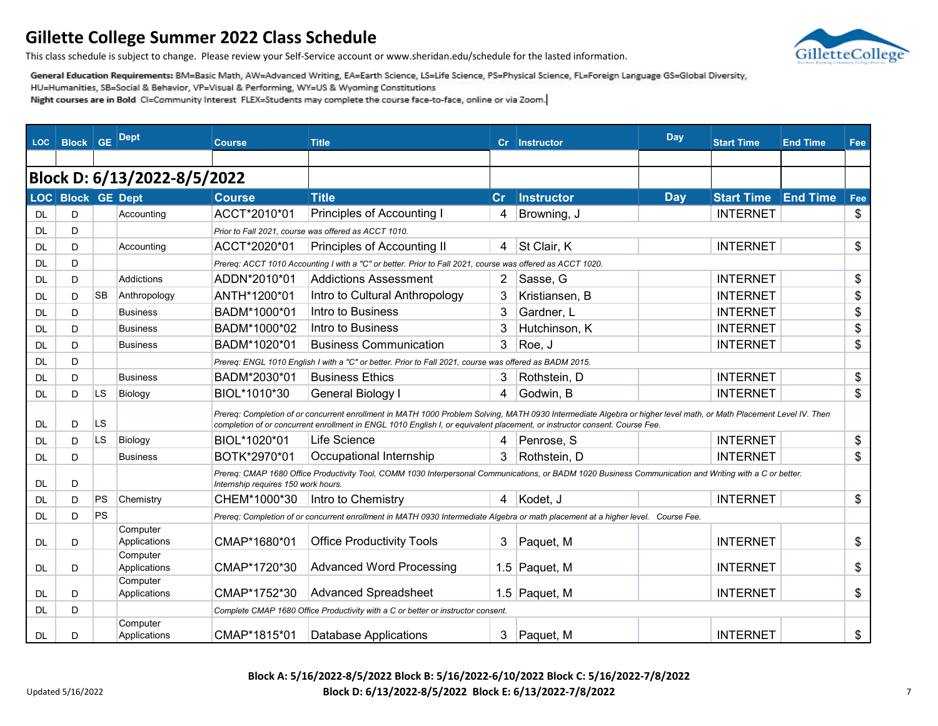

This class schedule is subject to change. Please review your Self-Service account or www.sheridan.edu/schedule for the lasted information.

General Education Requirements: BM=Basic Math, AW=Advanced Writing, EA=Earth Science, LS=Life Science, PS=Physical Science, FL=Foreign Language GS=Global Diversity,

HU=Humanities, SB=Social & Behavior, VP=Visual & Performing, WY=US & Wyoming Constitutions

Night courses are in Bold CI=Community Interest FLEX=Students may complete the course face-to-face, online or via Zoom.

| LOC.      | <b>Block GE</b>   |           | Dept                        | <b>Course</b>                       | <b>Title</b>                                                                                                                                                                                                                                                                                     |                       | Cr Instructor     | Day        | <b>Start Time</b> | <b>End Time</b> | Fee |
|-----------|-------------------|-----------|-----------------------------|-------------------------------------|--------------------------------------------------------------------------------------------------------------------------------------------------------------------------------------------------------------------------------------------------------------------------------------------------|-----------------------|-------------------|------------|-------------------|-----------------|-----|
|           |                   |           |                             |                                     |                                                                                                                                                                                                                                                                                                  |                       |                   |            |                   |                 |     |
|           |                   |           | Block D: 6/13/2022-8/5/2022 |                                     |                                                                                                                                                                                                                                                                                                  |                       |                   |            |                   |                 |     |
|           | LOC Block GE Dept |           |                             | <b>Course</b>                       | <b>Title</b>                                                                                                                                                                                                                                                                                     | $\mathbf{C}$ r        | <b>Instructor</b> | <b>Day</b> | <b>Start Time</b> | <b>End Time</b> | Fee |
| <b>DL</b> | D                 |           | Accounting                  | ACCT*2010*01                        | Principles of Accounting I                                                                                                                                                                                                                                                                       | 4                     | Browning, J       |            | <b>INTERNET</b>   |                 | \$  |
| DL        | D                 |           |                             |                                     | Prior to Fall 2021, course was offered as ACCT 1010.                                                                                                                                                                                                                                             |                       |                   |            |                   |                 |     |
| DL        | D                 |           | Accounting                  | ACCT*2020*01                        | Principles of Accounting II                                                                                                                                                                                                                                                                      |                       | 4 St Clair, K     |            | <b>INTERNET</b>   |                 | \$  |
| <b>DL</b> | D                 |           |                             |                                     | Prereq: ACCT 1010 Accounting I with a "C" or better. Prior to Fall 2021, course was offered as ACCT 1020.                                                                                                                                                                                        |                       |                   |            |                   |                 |     |
| DL        | D                 |           | <b>Addictions</b>           | ADDN*2010*01                        | <b>Addictions Assessment</b>                                                                                                                                                                                                                                                                     | $\mathbf{2}^{\prime}$ | Sasse, G          |            | <b>INTERNET</b>   |                 | \$  |
| DL        | D                 | <b>SB</b> | Anthropology                | ANTH*1200*01                        | Intro to Cultural Anthropology                                                                                                                                                                                                                                                                   | 3                     | Kristiansen, B    |            | <b>INTERNET</b>   |                 | \$  |
| <b>DL</b> | D                 |           | <b>Business</b>             | BADM*1000*01                        | Intro to Business                                                                                                                                                                                                                                                                                | 3                     | Gardner, L        |            | <b>INTERNET</b>   |                 | \$  |
| DL        | D                 |           | <b>Business</b>             | BADM*1000*02                        | Intro to Business                                                                                                                                                                                                                                                                                | 3                     | Hutchinson, K     |            | <b>INTERNET</b>   |                 | \$  |
| DL        | D                 |           | <b>Business</b>             | BADM*1020*01                        | <b>Business Communication</b>                                                                                                                                                                                                                                                                    | 3                     | Roe, J            |            | <b>INTERNET</b>   |                 | \$  |
| <b>DL</b> | D                 |           |                             |                                     | Prereq: ENGL 1010 English I with a "C" or better. Prior to Fall 2021, course was offered as BADM 2015.                                                                                                                                                                                           |                       |                   |            |                   |                 |     |
| DL        | D                 |           | <b>Business</b>             | BADM*2030*01                        | <b>Business Ethics</b>                                                                                                                                                                                                                                                                           | 3                     | Rothstein, D      |            | <b>INTERNET</b>   |                 | \$  |
| DL        | D                 | LS.       | Biology                     | BIOL*1010*30                        | General Biology I                                                                                                                                                                                                                                                                                | 4                     | Godwin, B         |            | <b>INTERNET</b>   |                 | \$  |
| <b>DL</b> | D                 | <b>LS</b> |                             |                                     | Prereq: Completion of or concurrent enrollment in MATH 1000 Problem Solving, MATH 0930 Intermediate Algebra or higher level math, or Math Placement Level IV. Then<br>completion of or concurrent enrollment in ENGL 1010 English I, or equivalent placement, or instructor consent. Course Fee. |                       |                   |            |                   |                 |     |
| DL        | D                 | <b>LS</b> | Biology                     | BIOL*1020*01                        | Life Science                                                                                                                                                                                                                                                                                     | 4                     | Penrose, S        |            | <b>INTERNET</b>   |                 | \$  |
| <b>DL</b> | D                 |           | <b>Business</b>             | BOTK*2970*01                        | Occupational Internship                                                                                                                                                                                                                                                                          | 3                     | Rothstein, D      |            | <b>INTERNET</b>   |                 | \$  |
| DL        | D                 |           |                             | Internship requires 150 work hours. | Prereq: CMAP 1680 Office Productivity Tool, COMM 1030 Interpersonal Communications, or BADM 1020 Business Communication and Writing with a C or better.                                                                                                                                          |                       |                   |            |                   |                 |     |
| <b>DL</b> | D                 | PS        | Chemistry                   | CHEM*1000*30                        | Intro to Chemistry                                                                                                                                                                                                                                                                               | 4                     | Kodet, J          |            | <b>INTERNET</b>   |                 | \$  |
| DL        | D                 | PS        |                             |                                     | Prereq: Completion of or concurrent enrollment in MATH 0930 Intermediate Algebra or math placement at a higher level. Course Fee.                                                                                                                                                                |                       |                   |            |                   |                 |     |
| <b>DL</b> | D                 |           | Computer<br>Applications    | CMAP*1680*01                        | <b>Office Productivity Tools</b>                                                                                                                                                                                                                                                                 | 3                     | Paquet, M         |            | <b>INTERNET</b>   |                 | \$  |
| <b>DL</b> | D                 |           | Computer<br>Applications    | CMAP*1720*30                        | <b>Advanced Word Processing</b>                                                                                                                                                                                                                                                                  |                       | 1.5 Paquet, M     |            | <b>INTERNET</b>   |                 | \$  |
| DL        | D                 |           | Computer<br>Applications    | CMAP*1752*30                        | <b>Advanced Spreadsheet</b>                                                                                                                                                                                                                                                                      |                       | 1.5 Paquet, M     |            | <b>INTERNET</b>   |                 | \$  |
| <b>DL</b> | D                 |           |                             |                                     | Complete CMAP 1680 Office Productivity with a C or better or instructor consent.                                                                                                                                                                                                                 |                       |                   |            |                   |                 |     |
| <b>DL</b> | D                 |           | Computer<br>Applications    | CMAP*1815*01                        | <b>Database Applications</b>                                                                                                                                                                                                                                                                     | 3                     | Paquet, M         |            | <b>INTERNET</b>   |                 | \$  |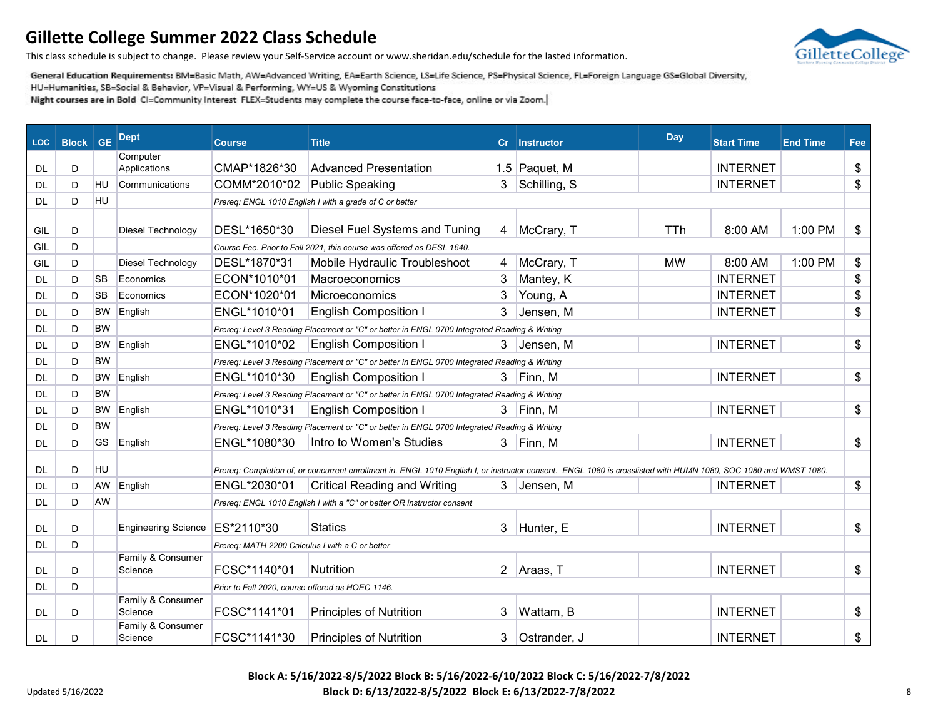

This class schedule is subject to change. Please review your Self-Service account or www.sheridan.edu/schedule for the lasted information.

General Education Requirements: BM=Basic Math, AW=Advanced Writing, EA=Earth Science, LS=Life Science, PS=Physical Science, FL=Foreign Language GS=Global Diversity,

HU=Humanities, SB=Social & Behavior, VP=Visual & Performing, WY=US & Wyoming Constitutions

Night courses are in Bold CI=Community Interest FLEX=Students may complete the course face-to-face, online or via Zoom.

| <b>LOC</b> | <b>Block</b> | <b>GE</b> | <b>Dept</b>                  | <b>Course</b>                                    | <b>Title</b>                                                                                                                                                     | Cr. | <b>Instructor</b> | <b>Day</b> | <b>Start Time</b> | <b>End Time</b> | Fee |
|------------|--------------|-----------|------------------------------|--------------------------------------------------|------------------------------------------------------------------------------------------------------------------------------------------------------------------|-----|-------------------|------------|-------------------|-----------------|-----|
| <b>DL</b>  | D            |           | Computer<br>Applications     | CMAP*1826*30                                     | <b>Advanced Presentation</b>                                                                                                                                     |     | 1.5 Paquet, M     |            | <b>INTERNET</b>   |                 | \$  |
| DL         | D            | <b>HU</b> | Communications               | COMM*2010*02                                     | <b>Public Speaking</b>                                                                                                                                           | 3   | Schilling, S      |            | <b>INTERNET</b>   |                 | \$  |
| DL         | D            | <b>HU</b> |                              |                                                  | Prereq: ENGL 1010 English I with a grade of C or better                                                                                                          |     |                   |            |                   |                 |     |
|            |              |           |                              |                                                  |                                                                                                                                                                  |     |                   |            |                   |                 |     |
| GIL        | D            |           | Diesel Technology            | DESL*1650*30                                     | Diesel Fuel Systems and Tuning                                                                                                                                   | 4   | McCrary, T        | <b>TTh</b> | 8:00 AM           | 1:00 PM         | \$  |
| GIL        | D            |           |                              |                                                  | Course Fee. Prior to Fall 2021, this course was offered as DESL 1640.                                                                                            |     |                   |            |                   |                 |     |
| GIL        | D            |           | Diesel Technology            | DESL*1870*31                                     | Mobile Hydraulic Troubleshoot                                                                                                                                    | 4   | McCrary, T        | <b>MW</b>  | 8:00 AM           | 1:00 PM         | \$  |
| <b>DL</b>  | D            | <b>SB</b> | Economics                    | ECON*1010*01                                     | Macroeconomics                                                                                                                                                   | 3   | Mantey, K         |            | <b>INTERNET</b>   |                 | \$  |
| <b>DL</b>  | D            | <b>SB</b> | Economics                    | ECON*1020*01                                     | Microeconomics                                                                                                                                                   | 3   | Young, A          |            | <b>INTERNET</b>   |                 | \$  |
| <b>DL</b>  | D            | <b>BW</b> | English                      | ENGL*1010*01                                     | <b>English Composition I</b>                                                                                                                                     | 3   | Jensen, M         |            | <b>INTERNET</b>   |                 | \$  |
| <b>DL</b>  | D            | <b>BW</b> |                              |                                                  | Prereq: Level 3 Reading Placement or "C" or better in ENGL 0700 Integrated Reading & Writing                                                                     |     |                   |            |                   |                 |     |
| DL         | D            | <b>BW</b> | English                      | ENGL*1010*02                                     | <b>English Composition I</b>                                                                                                                                     | 3   | Jensen, M         |            | <b>INTERNET</b>   |                 | \$  |
| <b>DL</b>  | D            | <b>BW</b> |                              |                                                  | Prereq: Level 3 Reading Placement or "C" or better in ENGL 0700 Integrated Reading & Writing                                                                     |     |                   |            |                   |                 |     |
| <b>DL</b>  | D            | BW        | English                      | ENGL*1010*30                                     | <b>English Composition I</b>                                                                                                                                     |     | 3 Finn, M         |            | <b>INTERNET</b>   |                 | \$  |
| <b>DL</b>  | D            | <b>BW</b> |                              |                                                  | Prereq: Level 3 Reading Placement or "C" or better in ENGL 0700 Integrated Reading & Writing                                                                     |     |                   |            |                   |                 |     |
| DL         | D            | <b>BW</b> | English                      | ENGL*1010*31                                     | <b>English Composition I</b>                                                                                                                                     |     | 3 Finn, M         |            | <b>INTERNET</b>   |                 | \$  |
| DL         | D            | <b>BW</b> |                              |                                                  | Prereq: Level 3 Reading Placement or "C" or better in ENGL 0700 Integrated Reading & Writing                                                                     |     |                   |            |                   |                 |     |
| DL.        | D            | <b>GS</b> | English                      | ENGL*1080*30                                     | Intro to Women's Studies                                                                                                                                         |     | 3 Finn, M         |            | <b>INTERNET</b>   |                 | \$  |
| <b>DL</b>  | D            | <b>HU</b> |                              |                                                  | Prereq: Completion of, or concurrent enrollment in, ENGL 1010 English I, or instructor consent. ENGL 1080 is crosslisted with HUMN 1080, SOC 1080 and WMST 1080. |     |                   |            |                   |                 |     |
| <b>DL</b>  | D            | <b>AW</b> | English                      | ENGL*2030*01                                     | <b>Critical Reading and Writing</b>                                                                                                                              |     | 3 Jensen, M       |            | <b>INTERNET</b>   |                 | \$  |
| DL         | D            | AW        |                              |                                                  | Prereq: ENGL 1010 English I with a "C" or better OR instructor consent                                                                                           |     |                   |            |                   |                 |     |
| <b>DL</b>  | D            |           | <b>Engineering Science</b>   | ES*2110*30                                       | <b>Statics</b>                                                                                                                                                   | 3   | Hunter, E         |            | <b>INTERNET</b>   |                 | \$  |
| DL         | D            |           |                              | Prereq: MATH 2200 Calculus I with a C or better  |                                                                                                                                                                  |     |                   |            |                   |                 |     |
|            |              |           | Family & Consumer            |                                                  |                                                                                                                                                                  |     |                   |            |                   |                 |     |
| <b>DL</b>  | D            |           | Science                      | FCSC*1140*01                                     | <b>Nutrition</b>                                                                                                                                                 |     | 2 Araas, T        |            | <b>INTERNET</b>   |                 | \$  |
| DL         | D            |           |                              | Prior to Fall 2020, course offered as HOEC 1146. |                                                                                                                                                                  |     |                   |            |                   |                 |     |
| <b>DL</b>  | D            |           | Family & Consumer<br>Science | FCSC*1141*01                                     | <b>Principles of Nutrition</b>                                                                                                                                   | 3   | Wattam, B         |            | <b>INTERNET</b>   |                 | \$  |
| <b>DL</b>  | D            |           | Family & Consumer<br>Science | FCSC*1141*30                                     | <b>Principles of Nutrition</b>                                                                                                                                   | 3   | Ostrander, J      |            | <b>INTERNET</b>   |                 | \$  |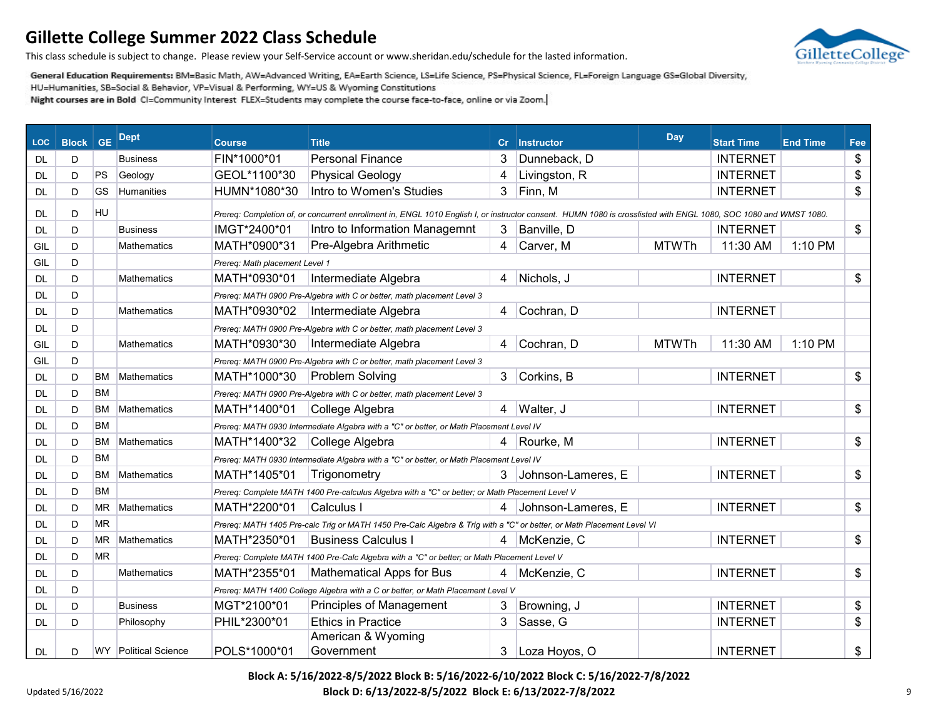

This class schedule is subject to change. Please review your Self-Service account or www.sheridan.edu/schedule for the lasted information.

General Education Requirements: BM=Basic Math, AW=Advanced Writing, EA=Earth Science, LS=Life Science, PS=Physical Science, FL=Foreign Language GS=Global Diversity,

HU=Humanities, SB=Social & Behavior, VP=Visual & Performing, WY=US & Wyoming Constitutions

| <b>LOC</b> | <b>Block</b> GE |           | <b>Dept</b>          | <b>Course</b>                  | <b>Title</b>                                                                                                                                                     |   | Cr Instructor        | Day          | <b>Start Time</b> | <b>End Time</b> | Fee           |
|------------|-----------------|-----------|----------------------|--------------------------------|------------------------------------------------------------------------------------------------------------------------------------------------------------------|---|----------------------|--------------|-------------------|-----------------|---------------|
| DL         | D               |           | <b>Business</b>      | FIN*1000*01                    | <b>Personal Finance</b>                                                                                                                                          | 3 | Dunneback, D         |              | <b>INTERNET</b>   |                 | \$            |
| DL         | D               | <b>PS</b> | Geology              | GEOL*1100*30                   | <b>Physical Geology</b>                                                                                                                                          | 4 | Livingston, R        |              | <b>INTERNET</b>   |                 | \$            |
| DL         | D               | GS        | Humanities           | HUMN*1080*30                   | Intro to Women's Studies                                                                                                                                         | 3 | Finn, M              |              | <b>INTERNET</b>   |                 | \$            |
| <b>DL</b>  | D               | HU        |                      |                                | Prereq: Completion of, or concurrent enrollment in, ENGL 1010 English I, or instructor consent. HUMN 1080 is crosslisted with ENGL 1080, SOC 1080 and WMST 1080. |   |                      |              |                   |                 |               |
| DL         | D               |           | <b>Business</b>      | IMGT*2400*01                   | Intro to Information Managemnt                                                                                                                                   | 3 | Banville, D          |              | <b>INTERNET</b>   |                 | $\frac{1}{2}$ |
| GIL        | D               |           | <b>Mathematics</b>   | MATH*0900*31                   | Pre-Algebra Arithmetic                                                                                                                                           | 4 | Carver, M            | <b>MTWTh</b> | 11:30 AM          | 1:10 PM         |               |
| GIL        | D               |           |                      | Prereq: Math placement Level 1 |                                                                                                                                                                  |   |                      |              |                   |                 |               |
| <b>DL</b>  | D               |           | <b>Mathematics</b>   | MATH*0930*01                   | Intermediate Algebra                                                                                                                                             | 4 | Nichols, J           |              | <b>INTERNET</b>   |                 | \$            |
| DL         | D               |           |                      |                                | Prereq: MATH 0900 Pre-Algebra with C or better, math placement Level 3                                                                                           |   |                      |              |                   |                 |               |
| <b>DL</b>  | D               |           | <b>Mathematics</b>   | MATH*0930*02                   | Intermediate Algebra                                                                                                                                             | 4 | Cochran, D           |              | <b>INTERNET</b>   |                 |               |
| <b>DL</b>  | D               |           |                      |                                | Prereq: MATH 0900 Pre-Algebra with C or better, math placement Level 3                                                                                           |   |                      |              |                   |                 |               |
| GIL        | D               |           | <b>Mathematics</b>   | MATH*0930*30                   | Intermediate Algebra                                                                                                                                             | 4 | Cochran, D           | <b>MTWTh</b> | 11:30 AM          | 1:10 PM         |               |
| GIL        | D               |           |                      |                                | Prereg: MATH 0900 Pre-Algebra with C or better, math placement Level 3                                                                                           |   |                      |              |                   |                 |               |
| <b>DL</b>  | D               | <b>BM</b> | <b>Mathematics</b>   | MATH*1000*30                   | <b>Problem Solving</b>                                                                                                                                           | 3 | Corkins, B           |              | <b>INTERNET</b>   |                 | \$            |
| DL         | D               | <b>BM</b> |                      |                                | Prereq: MATH 0900 Pre-Algebra with C or better, math placement Level 3                                                                                           |   |                      |              |                   |                 |               |
| DL         | D               | ВM        | Mathematics          | MATH*1400*01                   | College Algebra                                                                                                                                                  | 4 | Walter, J            |              | <b>INTERNET</b>   |                 | \$            |
| DL         | D               | <b>BM</b> |                      |                                | Prereq: MATH 0930 Intermediate Algebra with a "C" or better, or Math Placement Level IV                                                                          |   |                      |              |                   |                 |               |
| DL         | D               | ВM        | <b>Mathematics</b>   | MATH*1400*32                   | College Algebra                                                                                                                                                  | 4 | Rourke, M            |              | <b>INTERNET</b>   |                 | \$            |
| DL         | D               | <b>BM</b> |                      |                                | Prereq: MATH 0930 Intermediate Algebra with a "C" or better, or Math Placement Level IV                                                                          |   |                      |              |                   |                 |               |
| DL         | D               | BM        | <b>Mathematics</b>   | MATH*1405*01                   | Trigonometry                                                                                                                                                     |   | 3 Johnson-Lameres, E |              | <b>INTERNET</b>   |                 | \$            |
| DL         | D               | <b>BM</b> |                      |                                | Prereq: Complete MATH 1400 Pre-calculus Algebra with a "C" or better; or Math Placement Level V                                                                  |   |                      |              |                   |                 |               |
| <b>DL</b>  | D               | MR.       | <b>Mathematics</b>   | MATH*2200*01                   | Calculus I                                                                                                                                                       |   | Johnson-Lameres, E   |              | <b>INTERNET</b>   |                 | \$            |
| <b>DL</b>  | D               | <b>MR</b> |                      |                                | Prereq: MATH 1405 Pre-calc Trig or MATH 1450 Pre-Calc Algebra & Trig with a "C" or better, or Math Placement Level VI                                            |   |                      |              |                   |                 |               |
| <b>DL</b>  | D               | ΜR        | <b>Mathematics</b>   | MATH*2350*01                   | <b>Business Calculus I</b>                                                                                                                                       | 4 | McKenzie, C          |              | <b>INTERNET</b>   |                 | $\frac{2}{3}$ |
| <b>DL</b>  | D               | <b>MR</b> |                      |                                | Prereq: Complete MATH 1400 Pre-Calc Algebra with a "C" or better; or Math Placement Level V                                                                      |   |                      |              |                   |                 |               |
| <b>DL</b>  | D               |           | <b>Mathematics</b>   | MATH*2355*01                   | <b>Mathematical Apps for Bus</b>                                                                                                                                 | 4 | McKenzie, C          |              | <b>INTERNET</b>   |                 | \$            |
| <b>DL</b>  | D               |           |                      |                                | Prereg: MATH 1400 College Algebra with a C or better, or Math Placement Level V                                                                                  |   |                      |              |                   |                 |               |
| <b>DL</b>  | D               |           | <b>Business</b>      | MGT*2100*01                    | Principles of Management                                                                                                                                         | 3 | Browning, J          |              | <b>INTERNET</b>   |                 | \$            |
| <b>DL</b>  | D               |           | Philosophy           | PHIL*2300*01                   | <b>Ethics in Practice</b>                                                                                                                                        | 3 | Sasse, G             |              | <b>INTERNET</b>   |                 | \$            |
| <b>DL</b>  | D               |           | WY Political Science | POLS*1000*01                   | American & Wyoming<br>Government                                                                                                                                 | 3 | Loza Hoyos, O        |              | <b>INTERNET</b>   |                 | \$            |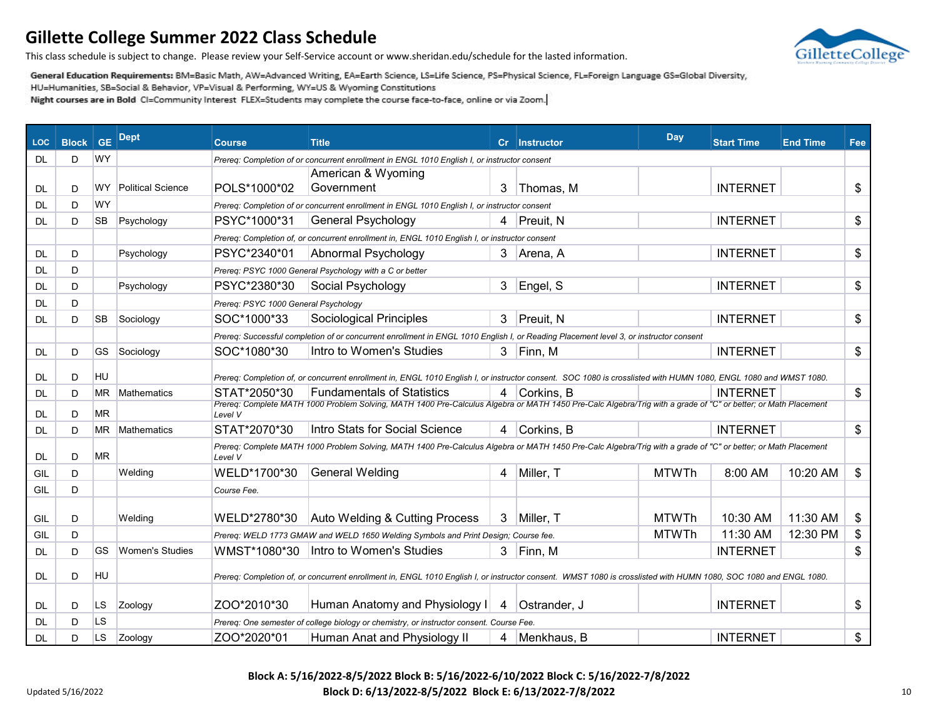GilletteCollege

This class schedule is subject to change. Please review your Self-Service account or www.sheridan.edu/schedule for the lasted information.

General Education Requirements: BM=Basic Math, AW=Advanced Writing, EA=Earth Science, LS=Life Science, PS=Physical Science, FL=Foreign Language GS=Global Diversity,

HU=Humanities, SB=Social & Behavior, VP=Visual & Performing, WY=US & Wyoming Constitutions

Night courses are in Bold CI=Community Interest FLEX=Students may complete the course face-to-face, online or via Zoom.

| <b>LOC</b> | <b>Block</b> | <b>GE</b> | <b>Dept</b>              | <b>Course</b>                        | <b>Title</b>                                                                                                                                                                                        |   | Cr Instructor | <b>Day</b>   | <b>Start Time</b> | <b>End Time</b> | Fee |
|------------|--------------|-----------|--------------------------|--------------------------------------|-----------------------------------------------------------------------------------------------------------------------------------------------------------------------------------------------------|---|---------------|--------------|-------------------|-----------------|-----|
| DL         | D            | WY        |                          |                                      | Prereq: Completion of or concurrent enrollment in ENGL 1010 English I, or instructor consent                                                                                                        |   |               |              |                   |                 |     |
|            |              |           |                          |                                      | American & Wyoming                                                                                                                                                                                  |   |               |              |                   |                 |     |
| DL         | D            | WY.       | <b>Political Science</b> | POLS*1000*02                         | Government                                                                                                                                                                                          | 3 | Thomas, M     |              | <b>INTERNET</b>   |                 | \$  |
| DL         | D            | <b>WY</b> |                          |                                      | Prereq: Completion of or concurrent enrollment in ENGL 1010 English I, or instructor consent                                                                                                        |   |               |              |                   |                 |     |
| DL         | D            | SВ        | Psychology               | PSYC*1000*31                         | <b>General Psychology</b>                                                                                                                                                                           |   | 4 Preuit, N   |              | <b>INTERNET</b>   |                 | \$  |
|            |              |           |                          |                                      | Prereq: Completion of, or concurrent enrollment in, ENGL 1010 English I, or instructor consent                                                                                                      |   |               |              |                   |                 |     |
| DL         | D            |           | Psychology               | PSYC*2340*01                         | Abnormal Psychology                                                                                                                                                                                 |   | 3 Arena, A    |              | <b>INTERNET</b>   |                 | \$  |
| DL         | D            |           |                          |                                      | Prereq: PSYC 1000 General Psychology with a C or better                                                                                                                                             |   |               |              |                   |                 |     |
| DL         | D            |           | Psychology               | PSYC*2380*30                         | Social Psychology                                                                                                                                                                                   | 3 | Engel, S      |              | <b>INTERNET</b>   |                 | \$  |
| DL         | D            |           |                          | Prereq: PSYC 1000 General Psychology |                                                                                                                                                                                                     |   |               |              |                   |                 |     |
| DL         | D            | <b>SB</b> | Sociology                | SOC*1000*33                          | Sociological Principles                                                                                                                                                                             | 3 | Preuit, N     |              | <b>INTERNET</b>   |                 | \$  |
|            |              |           |                          |                                      | Prereq: Successful completion of or concurrent enrollment in ENGL 1010 English I, or Reading Placement level 3, or instructor consent                                                               |   |               |              |                   |                 |     |
| DL.        | D            | GS        | Sociology                | SOC*1080*30                          | Intro to Women's Studies                                                                                                                                                                            | 3 | Finn, M       |              | <b>INTERNET</b>   |                 | \$  |
|            |              |           |                          |                                      |                                                                                                                                                                                                     |   |               |              |                   |                 |     |
| DL         | D            | <b>HU</b> |                          |                                      | Prereq: Completion of, or concurrent enrollment in, ENGL 1010 English I, or instructor consent. SOC 1080 is crosslisted with HUMN 1080, ENGL 1080 and WMST 1080.                                    |   |               |              |                   |                 |     |
| DL         | D            | ΜR        | Mathematics              | STAT*2050*30                         | <b>Fundamentals of Statistics</b><br>Prereq: Complete MATH 1000 Problem Solving, MATH 1400 Pre-Calculus Algebra or MATH 1450 Pre-Calc Algebra/Trig with a grade of "C" or better; or Math Placement |   | 4 Corkins, B  |              | <b>INTERNET</b>   |                 | \$  |
| DL         | D            | MR        |                          | Level V                              |                                                                                                                                                                                                     |   |               |              |                   |                 |     |
| DL         | D            | ΜR        | <b>Mathematics</b>       | STAT*2070*30                         | Intro Stats for Social Science                                                                                                                                                                      | 4 | Corkins, B    |              | <b>INTERNET</b>   |                 | \$  |
| DL         | D            | ΜR        |                          | Level V                              | Prereq: Complete MATH 1000 Problem Solving, MATH 1400 Pre-Calculus Algebra or MATH 1450 Pre-Calc Algebra/Trig with a grade of "C" or better; or Math Placement                                      |   |               |              |                   |                 |     |
| GIL        | D            |           | Welding                  | WELD*1700*30                         | <b>General Welding</b>                                                                                                                                                                              | 4 | Miller, T     | <b>MTWTh</b> | 8:00 AM           | 10:20 AM        | \$  |
| GIL        | D            |           |                          | Course Fee.                          |                                                                                                                                                                                                     |   |               |              |                   |                 |     |
|            |              |           |                          |                                      |                                                                                                                                                                                                     |   |               |              |                   |                 |     |
| GIL        | D            |           | Welding                  | WELD*2780*30                         | Auto Welding & Cutting Process                                                                                                                                                                      | 3 | Miller, T     | <b>MTWTh</b> | 10:30 AM          | 11:30 AM        | \$  |
| GIL        | D            |           |                          |                                      | Prereq: WELD 1773 GMAW and WELD 1650 Welding Symbols and Print Design; Course fee.                                                                                                                  |   |               | <b>MTWTh</b> | 11:30 AM          | 12:30 PM        | \$  |
| DL         | D            | GS        | <b>Women's Studies</b>   |                                      | WMST*1080*30  Intro to Women's Studies                                                                                                                                                              |   | 3 Finn, M     |              | <b>INTERNET</b>   |                 | \$  |
| DL         | D            | <b>HU</b> |                          |                                      | Prereq: Completion of, or concurrent enrollment in, ENGL 1010 English I, or instructor consent. WMST 1080 is crosslisted with HUMN 1080, SOC 1080 and ENGL 1080.                                    |   |               |              |                   |                 |     |
| DL         | D            | LS        | Zoology                  | ZOO*2010*30                          | Human Anatomy and Physiology I                                                                                                                                                                      | 4 | Ostrander, J  |              | <b>INTERNET</b>   |                 | \$  |
| DL         | D            | LS        |                          |                                      | Prereq: One semester of college biology or chemistry, or instructor consent. Course Fee.                                                                                                            |   |               |              |                   |                 |     |
| DL         | D            | LS        | Zoology                  | ZOO*2020*01                          | Human Anat and Physiology II                                                                                                                                                                        |   | 4 Menkhaus, B |              | <b>INTERNET</b>   |                 | \$  |